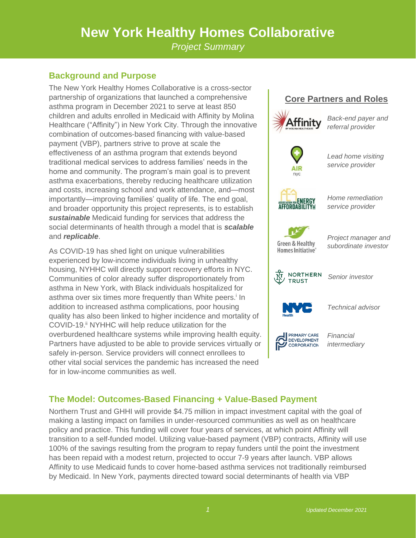# **New York Healthy Homes Collaborative**

*Project Summary*

## **Background and Purpose**

The New York Healthy Homes Collaborative is a cross-sector partnership of organizations that launched a comprehensive asthma program in December 2021 to serve at least 850 children and adults enrolled in Medicaid with Affinity by Molina Healthcare ("Affinity") in New York City. Through the innovative combination of outcomes-based financing with value-based payment (VBP), partners strive to prove at scale the effectiveness of an asthma program that extends beyond traditional medical services to address families' needs in the home and community. The program's main goal is to prevent asthma exacerbations, thereby reducing healthcare utilization and costs, increasing school and work attendance, and—most importantly—improving families' quality of life. The end goal, and broader opportunity this project represents, is to establish *sustainable* Medicaid funding for services that address the social determinants of health through a model that is *scalable* and *replicable*.

As COVID-19 has shed light on unique vulnerabilities experienced by low-income individuals living in unhealthy housing, NYHHC will directly support recovery efforts in NYC. Communities of color already suffer disproportionately from asthma in New York, with Black individuals hospitalized for asthma over six times more frequently than White peers.<sup>i</sup> In addition to increased asthma complications, poor housing quality has also been linked to higher incidence and mortality of COVID-19.<sup>ii</sup> NYHHC will help reduce utilization for the overburdened healthcare systems while improving health equity. Partners have adjusted to be able to provide services virtually or safely in-person. Service providers will connect enrollees to other vital social services the pandemic has increased the need for in low-income communities as well.



# **The Model: Outcomes-Based Financing + Value-Based Payment**

Northern Trust and GHHI will provide \$4.75 million in impact investment capital with the goal of making a lasting impact on families in under-resourced communities as well as on healthcare policy and practice. This funding will cover four years of services, at which point Affinity will transition to a self-funded model. Utilizing value-based payment (VBP) contracts, Affinity will use 100% of the savings resulting from the program to repay funders until the point the investment has been repaid with a modest return, projected to occur 7-9 years after launch. VBP allows Affinity to use Medicaid funds to cover home-based asthma services not traditionally reimbursed by Medicaid. In New York, payments directed toward social determinants of health via VBP